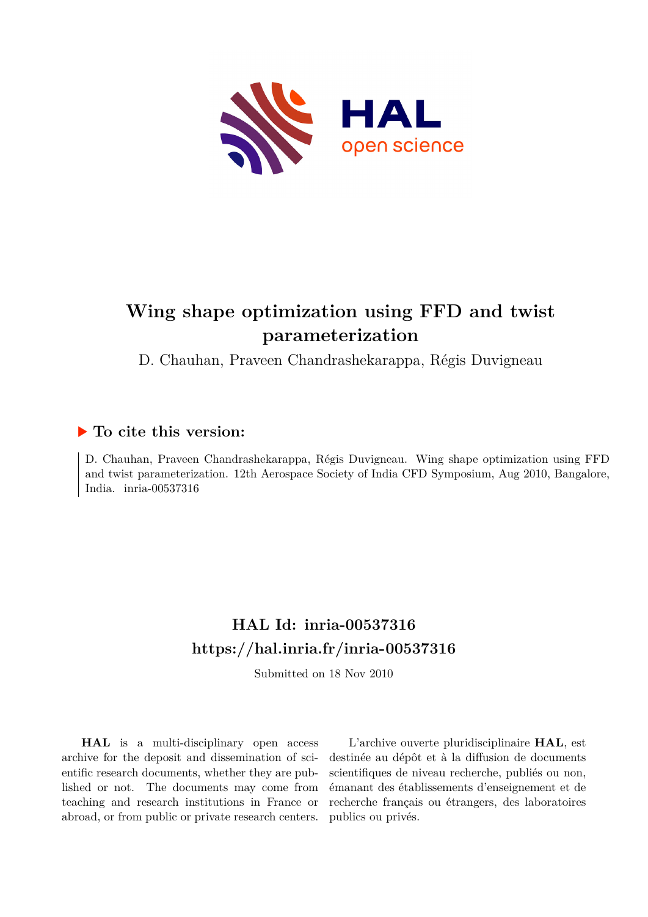

# **Wing shape optimization using FFD and twist parameterization**

D. Chauhan, Praveen Chandrashekarappa, Régis Duvigneau

## **To cite this version:**

D. Chauhan, Praveen Chandrashekarappa, Régis Duvigneau. Wing shape optimization using FFD and twist parameterization. 12th Aerospace Society of India CFD Symposium, Aug 2010, Bangalore, India. inria-00537316

## **HAL Id: inria-00537316 <https://hal.inria.fr/inria-00537316>**

Submitted on 18 Nov 2010

**HAL** is a multi-disciplinary open access archive for the deposit and dissemination of scientific research documents, whether they are published or not. The documents may come from teaching and research institutions in France or abroad, or from public or private research centers.

L'archive ouverte pluridisciplinaire **HAL**, est destinée au dépôt et à la diffusion de documents scientifiques de niveau recherche, publiés ou non, émanant des établissements d'enseignement et de recherche français ou étrangers, des laboratoires publics ou privés.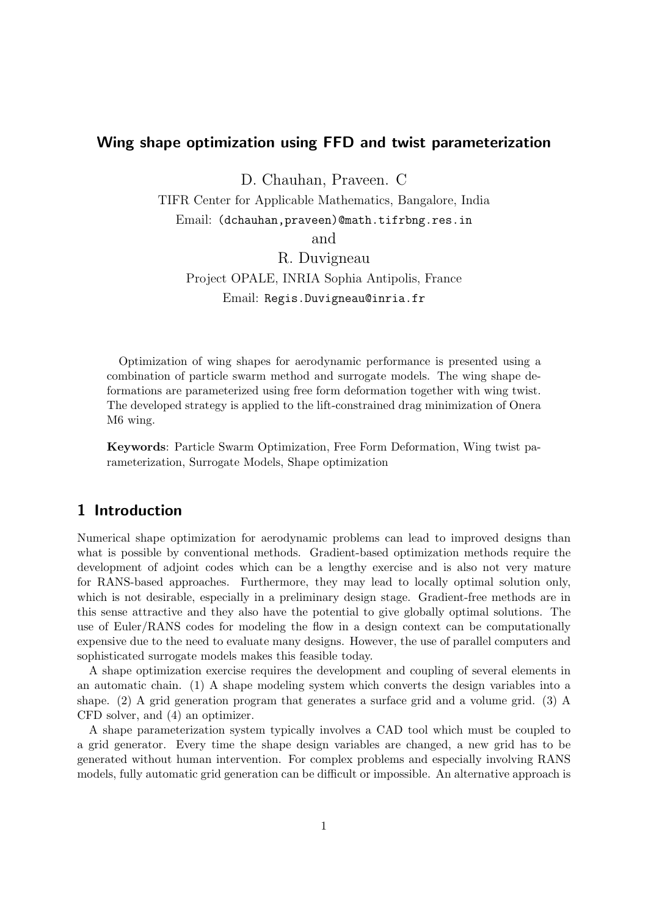### Wing shape optimization using FFD and twist parameterization

D. Chauhan, Praveen. C

TIFR Center for Applicable Mathematics, Bangalore, India Email: (dchauhan,praveen)@math.tifrbng.res.in

and

R. Duvigneau Project OPALE, INRIA Sophia Antipolis, France Email: Regis.Duvigneau@inria.fr

Optimization of wing shapes for aerodynamic performance is presented using a combination of particle swarm method and surrogate models. The wing shape deformations are parameterized using free form deformation together with wing twist. The developed strategy is applied to the lift-constrained drag minimization of Onera M6 wing.

Keywords: Particle Swarm Optimization, Free Form Deformation, Wing twist parameterization, Surrogate Models, Shape optimization

### 1 Introduction

Numerical shape optimization for aerodynamic problems can lead to improved designs than what is possible by conventional methods. Gradient-based optimization methods require the development of adjoint codes which can be a lengthy exercise and is also not very mature for RANS-based approaches. Furthermore, they may lead to locally optimal solution only, which is not desirable, especially in a preliminary design stage. Gradient-free methods are in this sense attractive and they also have the potential to give globally optimal solutions. The use of Euler/RANS codes for modeling the flow in a design context can be computationally expensive due to the need to evaluate many designs. However, the use of parallel computers and sophisticated surrogate models makes this feasible today.

A shape optimization exercise requires the development and coupling of several elements in an automatic chain. (1) A shape modeling system which converts the design variables into a shape. (2) A grid generation program that generates a surface grid and a volume grid. (3) A CFD solver, and (4) an optimizer.

A shape parameterization system typically involves a CAD tool which must be coupled to a grid generator. Every time the shape design variables are changed, a new grid has to be generated without human intervention. For complex problems and especially involving RANS models, fully automatic grid generation can be difficult or impossible. An alternative approach is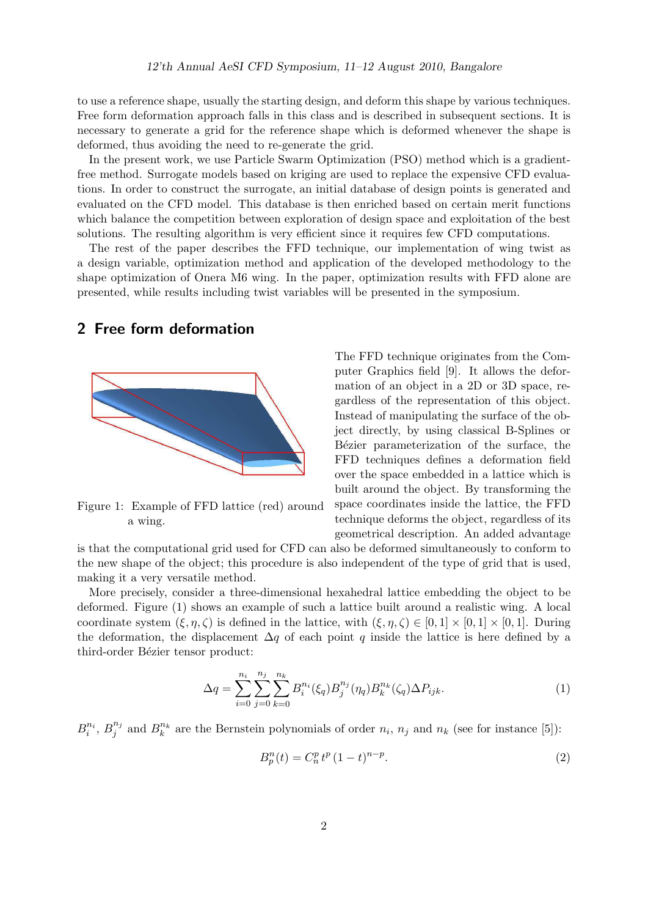to use a reference shape, usually the starting design, and deform this shape by various techniques. Free form deformation approach falls in this class and is described in subsequent sections. It is necessary to generate a grid for the reference shape which is deformed whenever the shape is deformed, thus avoiding the need to re-generate the grid.

In the present work, we use Particle Swarm Optimization (PSO) method which is a gradientfree method. Surrogate models based on kriging are used to replace the expensive CFD evaluations. In order to construct the surrogate, an initial database of design points is generated and evaluated on the CFD model. This database is then enriched based on certain merit functions which balance the competition between exploration of design space and exploitation of the best solutions. The resulting algorithm is very efficient since it requires few CFD computations.

The rest of the paper describes the FFD technique, our implementation of wing twist as a design variable, optimization method and application of the developed methodology to the shape optimization of Onera M6 wing. In the paper, optimization results with FFD alone are presented, while results including twist variables will be presented in the symposium.

#### 2 Free form deformation



Figure 1: Example of FFD lattice (red) around a wing.

The FFD technique originates from the Computer Graphics field [9]. It allows the deformation of an object in a 2D or 3D space, regardless of the representation of this object. Instead of manipulating the surface of the object directly, by using classical B-Splines or Bézier parameterization of the surface, the FFD techniques defines a deformation field over the space embedded in a lattice which is built around the object. By transforming the space coordinates inside the lattice, the FFD technique deforms the object, regardless of its geometrical description. An added advantage

is that the computational grid used for CFD can also be deformed simultaneously to conform to the new shape of the object; this procedure is also independent of the type of grid that is used, making it a very versatile method.

More precisely, consider a three-dimensional hexahedral lattice embedding the object to be deformed. Figure (1) shows an example of such a lattice built around a realistic wing. A local coordinate system  $(\xi, \eta, \zeta)$  is defined in the lattice, with  $(\xi, \eta, \zeta) \in [0, 1] \times [0, 1] \times [0, 1]$ . During the deformation, the displacement  $\Delta q$  of each point q inside the lattice is here defined by a third-order Bézier tensor product:

$$
\Delta q = \sum_{i=0}^{n_i} \sum_{j=0}^{n_j} \sum_{k=0}^{n_k} B_i^{n_i}(\xi_q) B_j^{n_j}(\eta_q) B_k^{n_k}(\zeta_q) \Delta P_{ijk}.
$$
\n(1)

 $B_i^{n_i}, B_j^{n_j}$  $j^{n_j}$  and  $B_k^{n_k}$  are the Bernstein polynomials of order  $n_i$ ,  $n_j$  and  $n_k$  (see for instance [5]):

$$
B_p^n(t) = C_n^p t^p (1 - t)^{n - p}.
$$
\n(2)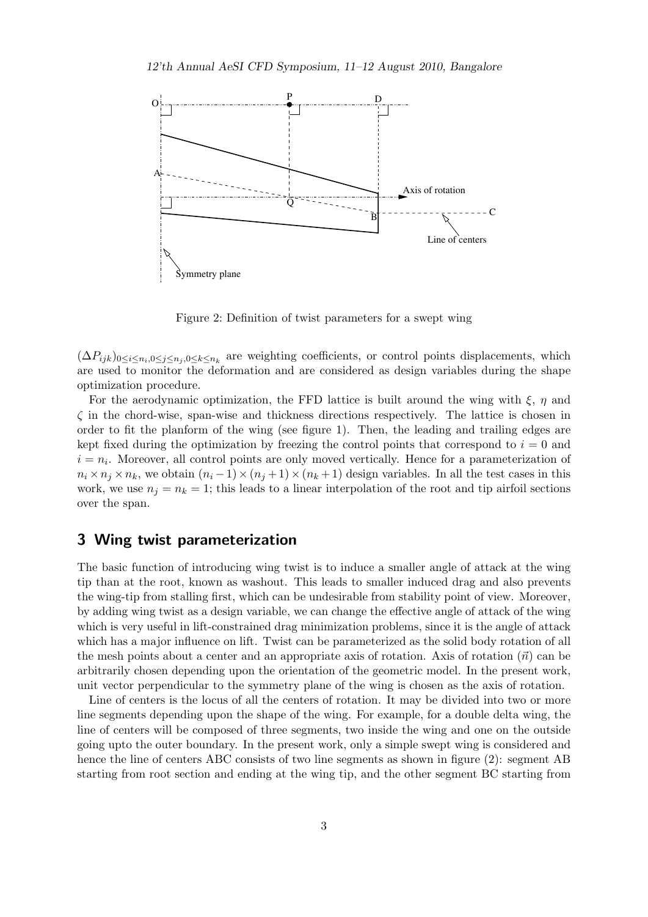

Figure 2: Definition of twist parameters for a swept wing

 $(\Delta P_{ijk})_{0\leq i\leq n_i,0\leq j\leq n_j,0\leq k\leq n_k}$  are weighting coefficients, or control points displacements, which are used to monitor the deformation and are considered as design variables during the shape optimization procedure.

For the aerodynamic optimization, the FFD lattice is built around the wing with  $\xi$ ,  $\eta$  and  $\zeta$  in the chord-wise, span-wise and thickness directions respectively. The lattice is chosen in order to fit the planform of the wing (see figure 1). Then, the leading and trailing edges are kept fixed during the optimization by freezing the control points that correspond to  $i = 0$  and  $i = n<sub>i</sub>$ . Moreover, all control points are only moved vertically. Hence for a parameterization of  $n_i \times n_j \times n_k$ , we obtain  $(n_i - 1) \times (n_j + 1) \times (n_k + 1)$  design variables. In all the test cases in this work, we use  $n_j = n_k = 1$ ; this leads to a linear interpolation of the root and tip airfoil sections over the span.

#### 3 Wing twist parameterization

The basic function of introducing wing twist is to induce a smaller angle of attack at the wing tip than at the root, known as washout. This leads to smaller induced drag and also prevents the wing-tip from stalling first, which can be undesirable from stability point of view. Moreover, by adding wing twist as a design variable, we can change the effective angle of attack of the wing which is very useful in lift-constrained drag minimization problems, since it is the angle of attack which has a major influence on lift. Twist can be parameterized as the solid body rotation of all the mesh points about a center and an appropriate axis of rotation. Axis of rotation  $(\vec{n})$  can be arbitrarily chosen depending upon the orientation of the geometric model. In the present work, unit vector perpendicular to the symmetry plane of the wing is chosen as the axis of rotation.

Line of centers is the locus of all the centers of rotation. It may be divided into two or more line segments depending upon the shape of the wing. For example, for a double delta wing, the line of centers will be composed of three segments, two inside the wing and one on the outside going upto the outer boundary. In the present work, only a simple swept wing is considered and hence the line of centers ABC consists of two line segments as shown in figure (2): segment AB starting from root section and ending at the wing tip, and the other segment BC starting from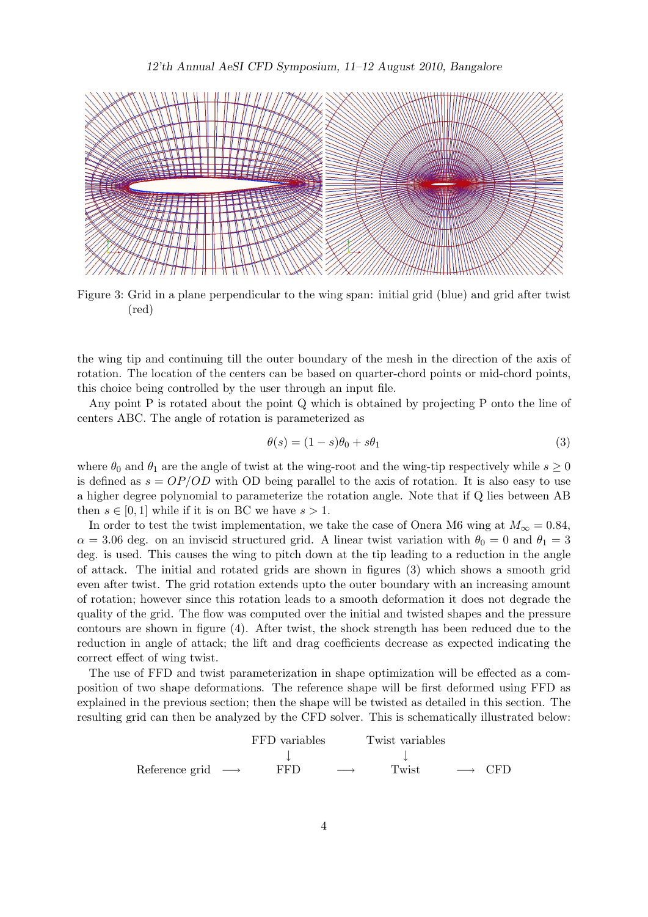

Figure 3: Grid in a plane perpendicular to the wing span: initial grid (blue) and grid after twist (red)

the wing tip and continuing till the outer boundary of the mesh in the direction of the axis of rotation. The location of the centers can be based on quarter-chord points or mid-chord points, this choice being controlled by the user through an input file.

Any point P is rotated about the point Q which is obtained by projecting P onto the line of centers ABC. The angle of rotation is parameterized as

$$
\theta(s) = (1 - s)\theta_0 + s\theta_1\tag{3}
$$

where  $\theta_0$  and  $\theta_1$  are the angle of twist at the wing-root and the wing-tip respectively while  $s \geq 0$ is defined as  $s = OP/OD$  with OD being parallel to the axis of rotation. It is also easy to use a higher degree polynomial to parameterize the rotation angle. Note that if Q lies between AB then  $s \in [0, 1]$  while if it is on BC we have  $s > 1$ .

In order to test the twist implementation, we take the case of Onera M6 wing at  $M_{\infty} = 0.84$ ,  $\alpha = 3.06$  deg. on an inviscid structured grid. A linear twist variation with  $\theta_0 = 0$  and  $\theta_1 = 3$ deg. is used. This causes the wing to pitch down at the tip leading to a reduction in the angle of attack. The initial and rotated grids are shown in figures (3) which shows a smooth grid even after twist. The grid rotation extends upto the outer boundary with an increasing amount of rotation; however since this rotation leads to a smooth deformation it does not degrade the quality of the grid. The flow was computed over the initial and twisted shapes and the pressure contours are shown in figure (4). After twist, the shock strength has been reduced due to the reduction in angle of attack; the lift and drag coefficients decrease as expected indicating the correct effect of wing twist.

The use of FFD and twist parameterization in shape optimization will be effected as a composition of two shape deformations. The reference shape will be first deformed using FFD as explained in the previous section; then the shape will be twisted as detailed in this section. The resulting grid can then be analyzed by the CFD solver. This is schematically illustrated below:

| FFD variables  | Twist variables |   |       |   |     |
|----------------|-----------------|---|-------|---|-----|
| $\downarrow$   | $\downarrow$    |   |       |   |     |
| Reference grid | FFD             | — | Twist | — | CFD |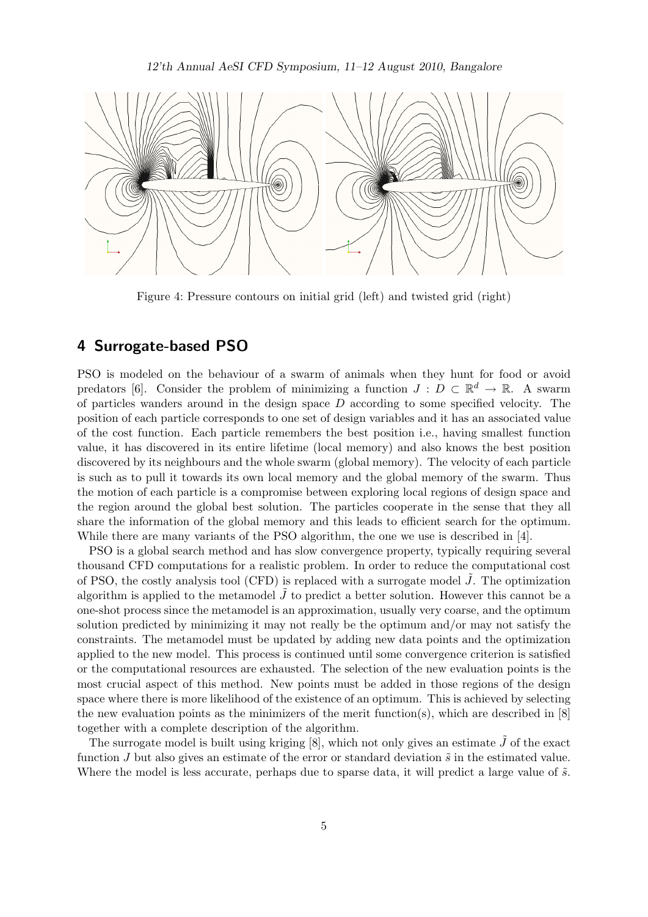

Figure 4: Pressure contours on initial grid (left) and twisted grid (right)

#### 4 Surrogate-based PSO

PSO is modeled on the behaviour of a swarm of animals when they hunt for food or avoid predators [6]. Consider the problem of minimizing a function  $J: D \subset \mathbb{R}^d \to \mathbb{R}$ . A swarm of particles wanders around in the design space  $D$  according to some specified velocity. The position of each particle corresponds to one set of design variables and it has an associated value of the cost function. Each particle remembers the best position i.e., having smallest function value, it has discovered in its entire lifetime (local memory) and also knows the best position discovered by its neighbours and the whole swarm (global memory). The velocity of each particle is such as to pull it towards its own local memory and the global memory of the swarm. Thus the motion of each particle is a compromise between exploring local regions of design space and the region around the global best solution. The particles cooperate in the sense that they all share the information of the global memory and this leads to efficient search for the optimum. While there are many variants of the PSO algorithm, the one we use is described in [4].

PSO is a global search method and has slow convergence property, typically requiring several thousand CFD computations for a realistic problem. In order to reduce the computational cost of PSO, the costly analysis tool (CFD) is replaced with a surrogate model  $J$ . The optimization algorithm is applied to the metamodel  $J$  to predict a better solution. However this cannot be a one-shot process since the metamodel is an approximation, usually very coarse, and the optimum solution predicted by minimizing it may not really be the optimum and/or may not satisfy the constraints. The metamodel must be updated by adding new data points and the optimization applied to the new model. This process is continued until some convergence criterion is satisfied or the computational resources are exhausted. The selection of the new evaluation points is the most crucial aspect of this method. New points must be added in those regions of the design space where there is more likelihood of the existence of an optimum. This is achieved by selecting the new evaluation points as the minimizers of the merit function(s), which are described in  $[8]$ together with a complete description of the algorithm.

The surrogate model is built using kriging  $[8]$ , which not only gives an estimate  $J$  of the exact function J but also gives an estimate of the error or standard deviation  $\tilde{s}$  in the estimated value. Where the model is less accurate, perhaps due to sparse data, it will predict a large value of  $\tilde{s}$ .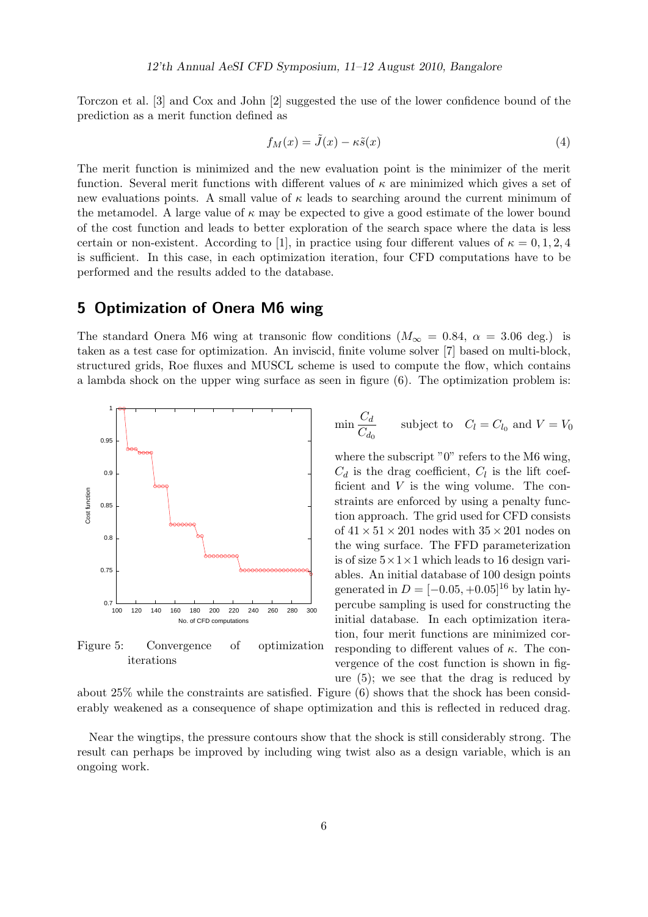Torczon et al. [3] and Cox and John [2] suggested the use of the lower confidence bound of the prediction as a merit function defined as

$$
f_M(x) = \tilde{J}(x) - \kappa \tilde{s}(x) \tag{4}
$$

The merit function is minimized and the new evaluation point is the minimizer of the merit function. Several merit functions with different values of  $\kappa$  are minimized which gives a set of new evaluations points. A small value of  $\kappa$  leads to searching around the current minimum of the metamodel. A large value of  $\kappa$  may be expected to give a good estimate of the lower bound of the cost function and leads to better exploration of the search space where the data is less certain or non-existent. According to [1], in practice using four different values of  $\kappa = 0, 1, 2, 4$ is sufficient. In this case, in each optimization iteration, four CFD computations have to be performed and the results added to the database.

#### 5 Optimization of Onera M6 wing

The standard Onera M6 wing at transonic flow conditions  $(M_{\infty} = 0.84, \alpha = 3.06$  deg.) is taken as a test case for optimization. An inviscid, finite volume solver [7] based on multi-block, structured grids, Roe fluxes and MUSCL scheme is used to compute the flow, which contains a lambda shock on the upper wing surface as seen in figure (6). The optimization problem is:



Figure 5: Convergence of optimization iterations

$$
\min \frac{C_d}{C_{d_0}} \qquad \text{subject to} \quad C_l = C_{l_0} \text{ and } V = V_0
$$

where the subscript " $0$ " refers to the M6 wing,  $C_d$  is the drag coefficient,  $C_l$  is the lift coefficient and  $V$  is the wing volume. The constraints are enforced by using a penalty function approach. The grid used for CFD consists of  $41 \times 51 \times 201$  nodes with  $35 \times 201$  nodes on the wing surface. The FFD parameterization is of size  $5 \times 1 \times 1$  which leads to 16 design variables. An initial database of 100 design points generated in  $D = [-0.05, +0.05]^{16}$  by latin hypercube sampling is used for constructing the initial database. In each optimization iteration, four merit functions are minimized corresponding to different values of  $\kappa$ . The convergence of the cost function is shown in figure (5); we see that the drag is reduced by

about 25% while the constraints are satisfied. Figure (6) shows that the shock has been considerably weakened as a consequence of shape optimization and this is reflected in reduced drag.

Near the wingtips, the pressure contours show that the shock is still considerably strong. The result can perhaps be improved by including wing twist also as a design variable, which is an ongoing work.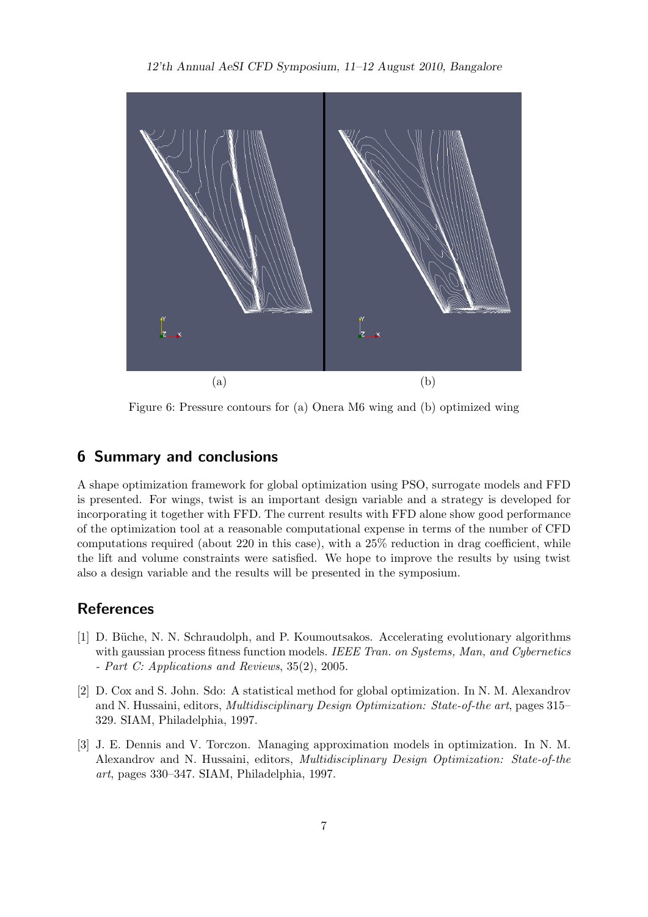#### 12'th Annual AeSI CFD Symposium, 11–12 August 2010, Bangalore



Figure 6: Pressure contours for (a) Onera M6 wing and (b) optimized wing

#### 6 Summary and conclusions

A shape optimization framework for global optimization using PSO, surrogate models and FFD is presented. For wings, twist is an important design variable and a strategy is developed for incorporating it together with FFD. The current results with FFD alone show good performance of the optimization tool at a reasonable computational expense in terms of the number of CFD computations required (about 220 in this case), with a 25% reduction in drag coefficient, while the lift and volume constraints were satisfied. We hope to improve the results by using twist also a design variable and the results will be presented in the symposium.

#### **References**

- [1] D. Büche, N. N. Schraudolph, and P. Koumoutsakos. Accelerating evolutionary algorithms with gaussian process fitness function models. *IEEE Tran. on Systems, Man, and Cybernetics - Part C: Applications and Reviews*, 35(2), 2005.
- [2] D. Cox and S. John. Sdo: A statistical method for global optimization. In N. M. Alexandrov and N. Hussaini, editors, *Multidisciplinary Design Optimization: State-of-the art*, pages 315– 329. SIAM, Philadelphia, 1997.
- [3] J. E. Dennis and V. Torczon. Managing approximation models in optimization. In N. M. Alexandrov and N. Hussaini, editors, *Multidisciplinary Design Optimization: State-of-the art*, pages 330–347. SIAM, Philadelphia, 1997.